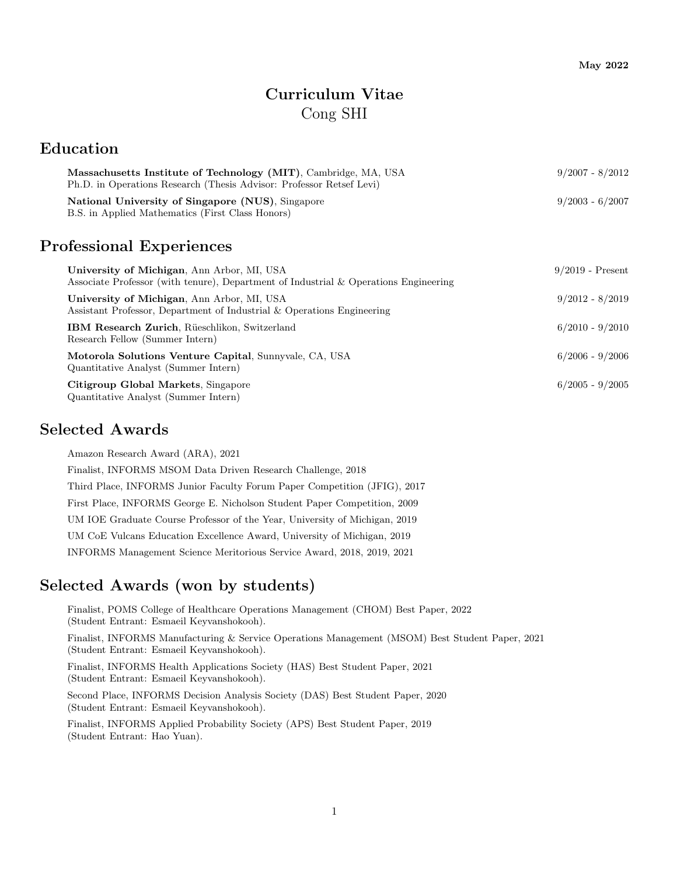# Curriculum Vitae Cong SHI

### Education

| Massachusetts Institute of Technology (MIT), Cambridge, MA, USA<br>Ph.D. in Operations Research (Thesis Advisor: Professor Retsef Levi) | $9/2007 - 8/2012$ |  |
|-----------------------------------------------------------------------------------------------------------------------------------------|-------------------|--|
| National University of Singapore (NUS), Singapore                                                                                       | $9/2003 - 6/2007$ |  |
| B.S. in Applied Mathematics (First Class Honors)                                                                                        |                   |  |

## Professional Experiences

| University of Michigan, Ann Arbor, MI, USA<br>Associate Professor (with tenure), Department of Industrial & Operations Engineering | $9/2019$ - Present |
|------------------------------------------------------------------------------------------------------------------------------------|--------------------|
| University of Michigan, Ann Arbor, MI, USA<br>Assistant Professor, Department of Industrial & Operations Engineering               | $9/2012 - 8/2019$  |
| <b>IBM Research Zurich</b> , Rüeschlikon, Switzerland<br>Research Fellow (Summer Intern)                                           | $6/2010 - 9/2010$  |
| Motorola Solutions Venture Capital, Sunnyvale, CA, USA<br>Quantitative Analyst (Summer Intern)                                     | $6/2006 - 9/2006$  |
| Citigroup Global Markets, Singapore<br>Quantitative Analyst (Summer Intern)                                                        | $6/2005 - 9/2005$  |

### Selected Awards

Amazon Research Award (ARA), 2021 Finalist, INFORMS MSOM Data Driven Research Challenge, 2018 Third Place, INFORMS Junior Faculty Forum Paper Competition (JFIG), 2017 First Place, INFORMS George E. Nicholson Student Paper Competition, 2009 UM IOE Graduate Course Professor of the Year, University of Michigan, 2019 UM CoE Vulcans Education Excellence Award, University of Michigan, 2019

INFORMS Management Science Meritorious Service Award, 2018, 2019, 2021

### Selected Awards (won by students)

Finalist, POMS College of Healthcare Operations Management (CHOM) Best Paper, 2022 (Student Entrant: Esmaeil Keyvanshokooh).

Finalist, INFORMS Manufacturing & Service Operations Management (MSOM) Best Student Paper, 2021 (Student Entrant: Esmaeil Keyvanshokooh).

Finalist, INFORMS Health Applications Society (HAS) Best Student Paper, 2021 (Student Entrant: Esmaeil Keyvanshokooh).

Second Place, INFORMS Decision Analysis Society (DAS) Best Student Paper, 2020 (Student Entrant: Esmaeil Keyvanshokooh).

Finalist, INFORMS Applied Probability Society (APS) Best Student Paper, 2019 (Student Entrant: Hao Yuan).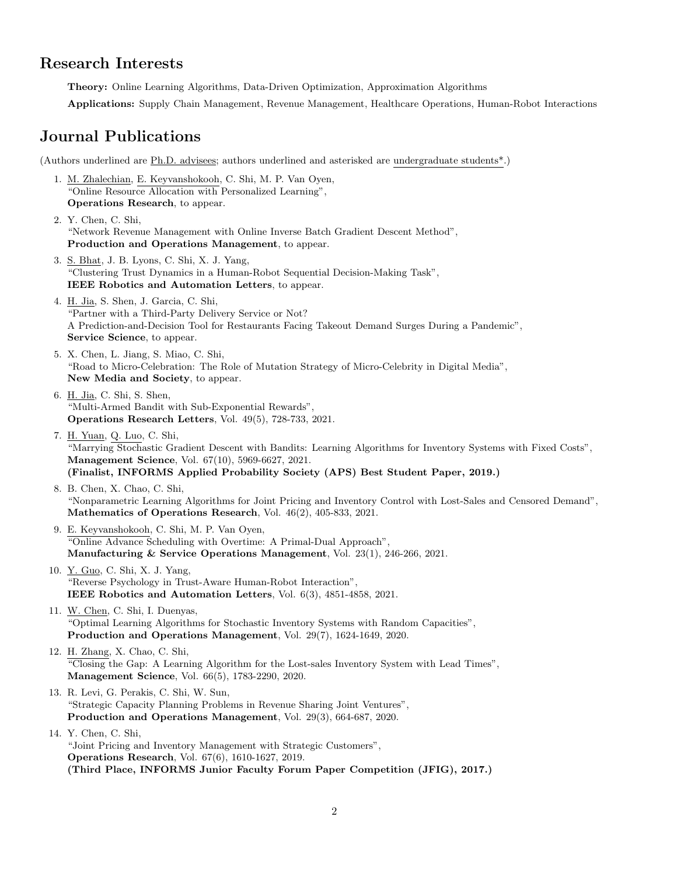### Research Interests

Theory: Online Learning Algorithms, Data-Driven Optimization, Approximation Algorithms

Applications: Supply Chain Management, Revenue Management, Healthcare Operations, Human-Robot Interactions

## Journal Publications

(Authors underlined are Ph.D. advisees; authors underlined and asterisked are undergraduate students\*.)

- 1. M. Zhalechian, E. Keyvanshokooh, C. Shi, M. P. Van Oyen, "Online Resource Allocation with Personalized Learning", Operations Research, to appear.
- 2. Y. Chen, C. Shi, "Network Revenue Management with Online Inverse Batch Gradient Descent Method", Production and Operations Management, to appear.
- 3. S. Bhat, J. B. Lyons, C. Shi, X. J. Yang, "Clustering Trust Dynamics in a Human-Robot Sequential Decision-Making Task", IEEE Robotics and Automation Letters, to appear.
- 4. H. Jia, S. Shen, J. Garcia, C. Shi, "Partner with a Third-Party Delivery Service or Not? A Prediction-and-Decision Tool for Restaurants Facing Takeout Demand Surges During a Pandemic", Service Science, to appear.
- 5. X. Chen, L. Jiang, S. Miao, C. Shi, "Road to Micro-Celebration: The Role of Mutation Strategy of Micro-Celebrity in Digital Media", New Media and Society, to appear.
- 6. H. Jia, C. Shi, S. Shen, "Multi-Armed Bandit with Sub-Exponential Rewards", Operations Research Letters, Vol. 49(5), 728-733, 2021.
- 7. H. Yuan, Q. Luo, C. Shi, "Marrying Stochastic Gradient Descent with Bandits: Learning Algorithms for Inventory Systems with Fixed Costs", Management Science, Vol. 67(10), 5969-6627, 2021. (Finalist, INFORMS Applied Probability Society (APS) Best Student Paper, 2019.)
- 8. B. Chen, X. Chao, C. Shi, "Nonparametric Learning Algorithms for Joint Pricing and Inventory Control with Lost-Sales and Censored Demand", Mathematics of Operations Research, Vol. 46(2), 405-833, 2021.
- 9. E. Keyvanshokooh, C. Shi, M. P. Van Oyen, "Online Advance Scheduling with Overtime: A Primal-Dual Approach", Manufacturing & Service Operations Management, Vol. 23(1), 246-266, 2021.
- 10. Y. Guo, C. Shi, X. J. Yang, "Reverse Psychology in Trust-Aware Human-Robot Interaction", IEEE Robotics and Automation Letters, Vol. 6(3), 4851-4858, 2021.
- 11. W. Chen, C. Shi, I. Duenyas, "Optimal Learning Algorithms for Stochastic Inventory Systems with Random Capacities", Production and Operations Management, Vol. 29(7), 1624-1649, 2020.
- 12. H. Zhang, X. Chao, C. Shi, "Closing the Gap: A Learning Algorithm for the Lost-sales Inventory System with Lead Times", Management Science, Vol. 66(5), 1783-2290, 2020.
- 13. R. Levi, G. Perakis, C. Shi, W. Sun, "Strategic Capacity Planning Problems in Revenue Sharing Joint Ventures", Production and Operations Management, Vol. 29(3), 664-687, 2020.
- 14. Y. Chen, C. Shi, "Joint Pricing and Inventory Management with Strategic Customers", Operations Research, Vol. 67(6), 1610-1627, 2019. (Third Place, INFORMS Junior Faculty Forum Paper Competition (JFIG), 2017.)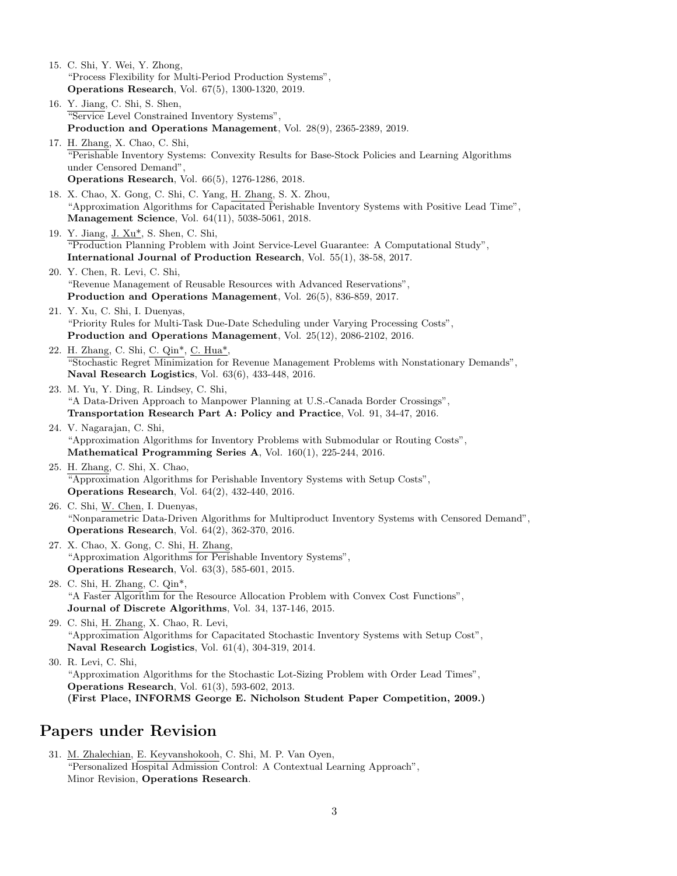15. C. Shi, Y. Wei, Y. Zhong, "Process Flexibility for Multi-Period Production Systems", Operations Research, Vol. 67(5), 1300-1320, 2019. 16. Y. Jiang, C. Shi, S. Shen, "Service Level Constrained Inventory Systems", Production and Operations Management, Vol. 28(9), 2365-2389, 2019. 17. H. Zhang, X. Chao, C. Shi, "Perishable Inventory Systems: Convexity Results for Base-Stock Policies and Learning Algorithms under Censored Demand", Operations Research, Vol. 66(5), 1276-1286, 2018. 18. X. Chao, X. Gong, C. Shi, C. Yang, H. Zhang, S. X. Zhou, "Approximation Algorithms for Capacitated Perishable Inventory Systems with Positive Lead Time", Management Science, Vol. 64(11), 5038-5061, 2018. 19. Y. Jiang, J. Xu\*, S. Shen, C. Shi, "Production Planning Problem with Joint Service-Level Guarantee: A Computational Study", International Journal of Production Research, Vol. 55(1), 38-58, 2017. 20. Y. Chen, R. Levi, C. Shi, "Revenue Management of Reusable Resources with Advanced Reservations", Production and Operations Management, Vol. 26(5), 836-859, 2017. 21. Y. Xu, C. Shi, I. Duenyas, "Priority Rules for Multi-Task Due-Date Scheduling under Varying Processing Costs", Production and Operations Management, Vol. 25(12), 2086-2102, 2016. 22. H. Zhang, C. Shi, C. Qin\*, C. Hua\*, "Stochastic Regret Minimization for Revenue Management Problems with Nonstationary Demands", Naval Research Logistics, Vol. 63(6), 433-448, 2016. 23. M. Yu, Y. Ding, R. Lindsey, C. Shi, "A Data-Driven Approach to Manpower Planning at U.S.-Canada Border Crossings", Transportation Research Part A: Policy and Practice, Vol. 91, 34-47, 2016. 24. V. Nagarajan, C. Shi, "Approximation Algorithms for Inventory Problems with Submodular or Routing Costs", Mathematical Programming Series A, Vol. 160(1), 225-244, 2016. 25. H. Zhang, C. Shi, X. Chao, "Approximation Algorithms for Perishable Inventory Systems with Setup Costs", Operations Research, Vol. 64(2), 432-440, 2016. 26. C. Shi, W. Chen, I. Duenyas, "Nonparametric Data-Driven Algorithms for Multiproduct Inventory Systems with Censored Demand", Operations Research, Vol. 64(2), 362-370, 2016. 27. X. Chao, X. Gong, C. Shi, H. Zhang, "Approximation Algorithms for Perishable Inventory Systems", Operations Research, Vol. 63(3), 585-601, 2015. 28. C. Shi, H. Zhang, C. Qin\*, "A Faster Algorithm for the Resource Allocation Problem with Convex Cost Functions", Journal of Discrete Algorithms, Vol. 34, 137-146, 2015. 29. C. Shi, H. Zhang, X. Chao, R. Levi, "Approximation Algorithms for Capacitated Stochastic Inventory Systems with Setup Cost", Naval Research Logistics, Vol. 61(4), 304-319, 2014. 30. R. Levi, C. Shi, "Approximation Algorithms for the Stochastic Lot-Sizing Problem with Order Lead Times", Operations Research, Vol. 61(3), 593-602, 2013. (First Place, INFORMS George E. Nicholson Student Paper Competition, 2009.)

### Papers under Revision

31. M. Zhalechian, E. Keyvanshokooh, C. Shi, M. P. Van Oyen, "Personalized Hospital Admission Control: A Contextual Learning Approach", Minor Revision, Operations Research.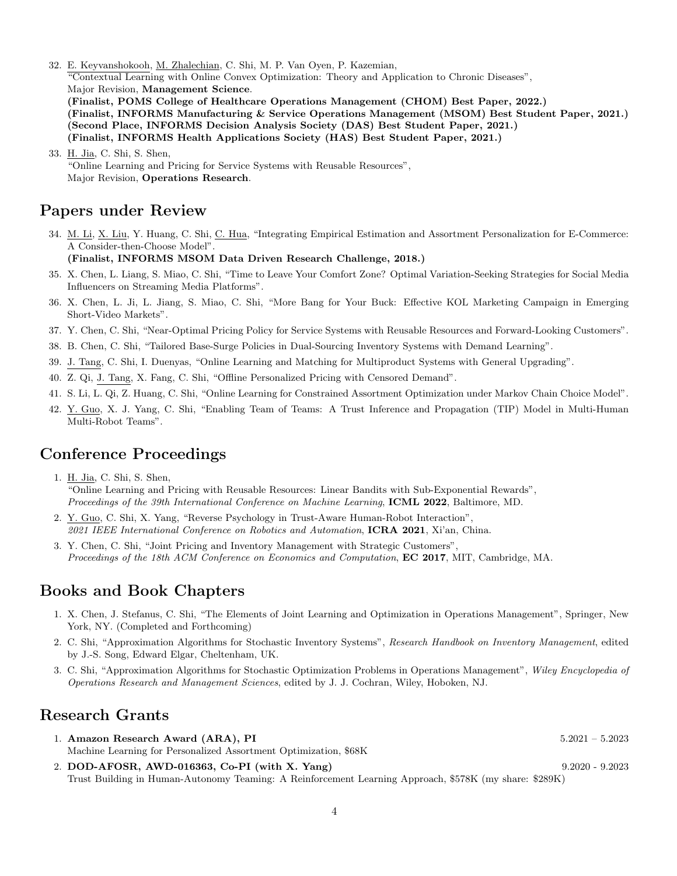- 32. E. Keyvanshokooh, M. Zhalechian, C. Shi, M. P. Van Oyen, P. Kazemian, "Contextual Learning with Online Convex Optimization: Theory and Application to Chronic Diseases", Major Revision, Management Science. (Finalist, POMS College of Healthcare Operations Management (CHOM) Best Paper, 2022.) (Finalist, INFORMS Manufacturing & Service Operations Management (MSOM) Best Student Paper, 2021.) (Second Place, INFORMS Decision Analysis Society (DAS) Best Student Paper, 2021.) (Finalist, INFORMS Health Applications Society (HAS) Best Student Paper, 2021.)
- 33. H. Jia, C. Shi, S. Shen, "Online Learning and Pricing for Service Systems with Reusable Resources", Major Revision, Operations Research.

## Papers under Review

34. M. Li, X. Liu, Y. Huang, C. Shi, C. Hua, "Integrating Empirical Estimation and Assortment Personalization for E-Commerce: A Consider-then-Choose Model".

#### (Finalist, INFORMS MSOM Data Driven Research Challenge, 2018.)

- 35. X. Chen, L. Liang, S. Miao, C. Shi, "Time to Leave Your Comfort Zone? Optimal Variation-Seeking Strategies for Social Media Influencers on Streaming Media Platforms".
- 36. X. Chen, L. Ji, L. Jiang, S. Miao, C. Shi, "More Bang for Your Buck: Effective KOL Marketing Campaign in Emerging Short-Video Markets".
- 37. Y. Chen, C. Shi, "Near-Optimal Pricing Policy for Service Systems with Reusable Resources and Forward-Looking Customers".
- 38. B. Chen, C. Shi, "Tailored Base-Surge Policies in Dual-Sourcing Inventory Systems with Demand Learning".
- 39. J. Tang, C. Shi, I. Duenyas, "Online Learning and Matching for Multiproduct Systems with General Upgrading".
- 40. Z. Qi, J. Tang, X. Fang, C. Shi, "Offline Personalized Pricing with Censored Demand".
- 41. S. Li, L. Qi, Z. Huang, C. Shi, "Online Learning for Constrained Assortment Optimization under Markov Chain Choice Model".
- 42. Y. Guo, X. J. Yang, C. Shi, "Enabling Team of Teams: A Trust Inference and Propagation (TIP) Model in Multi-Human Multi-Robot Teams".

## Conference Proceedings

1. H. Jia, C. Shi, S. Shen,

"Online Learning and Pricing with Reusable Resources: Linear Bandits with Sub-Exponential Rewards", Proceedings of the 39th International Conference on Machine Learning, ICML 2022, Baltimore, MD.

- 2. Y. Guo, C. Shi, X. Yang, "Reverse Psychology in Trust-Aware Human-Robot Interaction", 2021 IEEE International Conference on Robotics and Automation, ICRA 2021, Xi'an, China.
- 3. Y. Chen, C. Shi, "Joint Pricing and Inventory Management with Strategic Customers", Proceedings of the 18th ACM Conference on Economics and Computation, EC 2017, MIT, Cambridge, MA.

## Books and Book Chapters

- 1. X. Chen, J. Stefanus, C. Shi, "The Elements of Joint Learning and Optimization in Operations Management", Springer, New York, NY. (Completed and Forthcoming)
- 2. C. Shi, "Approximation Algorithms for Stochastic Inventory Systems", Research Handbook on Inventory Management, edited by J.-S. Song, Edward Elgar, Cheltenham, UK.
- 3. C. Shi, "Approximation Algorithms for Stochastic Optimization Problems in Operations Management", Wiley Encyclopedia of Operations Research and Management Sciences, edited by J. J. Cochran, Wiley, Hoboken, NJ.

### Research Grants

- 1. Amazon Research Award (ARA), PI  $5.2021 5.2023$ Machine Learning for Personalized Assortment Optimization, \$68K
- 2. DOD-AFOSR, AWD-016363, Co-PI (with X. Yang) 9.2020 9.2023 Trust Building in Human-Autonomy Teaming: A Reinforcement Learning Approach, \$578K (my share: \$289K)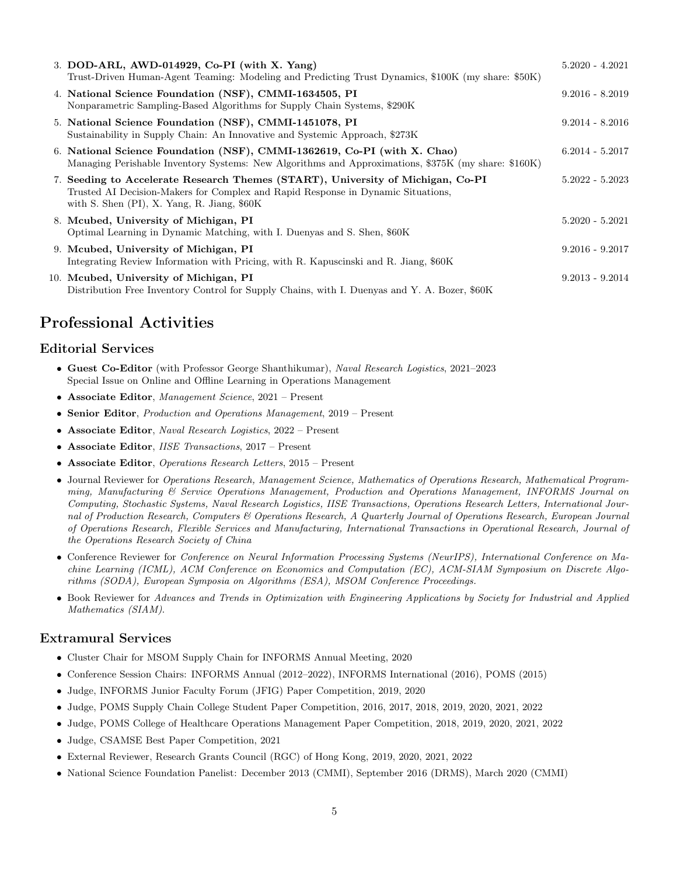| 3. DOD-ARL, AWD-014929, Co-PI (with X. Yang)<br>Trust-Driven Human-Agent Teaming: Modeling and Predicting Trust Dynamics, \$100K (my share: \$50K)                                                                     | $5.2020 - 4.2021$ |
|------------------------------------------------------------------------------------------------------------------------------------------------------------------------------------------------------------------------|-------------------|
| 4. National Science Foundation (NSF), CMMI-1634505, PI<br>Nonparametric Sampling-Based Algorithms for Supply Chain Systems, \$290K                                                                                     | $9.2016 - 8.2019$ |
| 5. National Science Foundation (NSF), CMMI-1451078, PI<br>Sustainability in Supply Chain: An Innovative and Systemic Approach, \$273K                                                                                  | $9.2014 - 8.2016$ |
| 6. National Science Foundation (NSF), CMMI-1362619, Co-PI (with X. Chao)<br>Managing Perishable Inventory Systems: New Algorithms and Approximations, \$375K (my share: \$160K)                                        | $6.2014 - 5.2017$ |
| 7. Seeding to Accelerate Research Themes (START), University of Michigan, Co-PI<br>Trusted AI Decision-Makers for Complex and Rapid Response in Dynamic Situations,<br>with S. Shen $(PI)$ , X. Yang, R. Jiang, $$60K$ | $5.2022 - 5.2023$ |
| 8. Mcubed, University of Michigan, PI<br>Optimal Learning in Dynamic Matching, with I. Duenyas and S. Shen, \$60K                                                                                                      | $5.2020 - 5.2021$ |
| 9. Mcubed, University of Michigan, PI<br>Integrating Review Information with Pricing, with R. Kapuscinski and R. Jiang, \$60K                                                                                          | $9.2016 - 9.2017$ |
| 10. Mcubed, University of Michigan, PI<br>Distribution Free Inventory Control for Supply Chains, with I. Duenyas and Y. A. Bozer, \$60K                                                                                | $9.2013 - 9.2014$ |

## Professional Activities

#### Editorial Services

- Guest Co-Editor (with Professor George Shanthikumar), Naval Research Logistics, 2021–2023 Special Issue on Online and Offline Learning in Operations Management
- Associate Editor, Management Science, 2021 Present
- Senior Editor, Production and Operations Management, 2019 Present
- Associate Editor, Naval Research Logistics, 2022 Present
- Associate Editor, IISE Transactions, 2017 Present
- Associate Editor, Operations Research Letters, 2015 Present
- Journal Reviewer for Operations Research, Management Science, Mathematics of Operations Research, Mathematical Programming, Manufacturing & Service Operations Management, Production and Operations Management, INFORMS Journal on Computing, Stochastic Systems, Naval Research Logistics, IISE Transactions, Operations Research Letters, International Journal of Production Research, Computers & Operations Research, A Quarterly Journal of Operations Research, European Journal of Operations Research, Flexible Services and Manufacturing, International Transactions in Operational Research, Journal of the Operations Research Society of China
- Conference Reviewer for Conference on Neural Information Processing Systems (NeurIPS), International Conference on Machine Learning (ICML), ACM Conference on Economics and Computation (EC), ACM-SIAM Symposium on Discrete Algorithms (SODA), European Symposia on Algorithms (ESA), MSOM Conference Proceedings.
- Book Reviewer for Advances and Trends in Optimization with Engineering Applications by Society for Industrial and Applied Mathematics (SIAM).

#### Extramural Services

- Cluster Chair for MSOM Supply Chain for INFORMS Annual Meeting, 2020
- Conference Session Chairs: INFORMS Annual (2012–2022), INFORMS International (2016), POMS (2015)
- Judge, INFORMS Junior Faculty Forum (JFIG) Paper Competition, 2019, 2020
- Judge, POMS Supply Chain College Student Paper Competition, 2016, 2017, 2018, 2019, 2020, 2021, 2022
- Judge, POMS College of Healthcare Operations Management Paper Competition, 2018, 2019, 2020, 2021, 2022
- Judge, CSAMSE Best Paper Competition, 2021
- External Reviewer, Research Grants Council (RGC) of Hong Kong, 2019, 2020, 2021, 2022
- National Science Foundation Panelist: December 2013 (CMMI), September 2016 (DRMS), March 2020 (CMMI)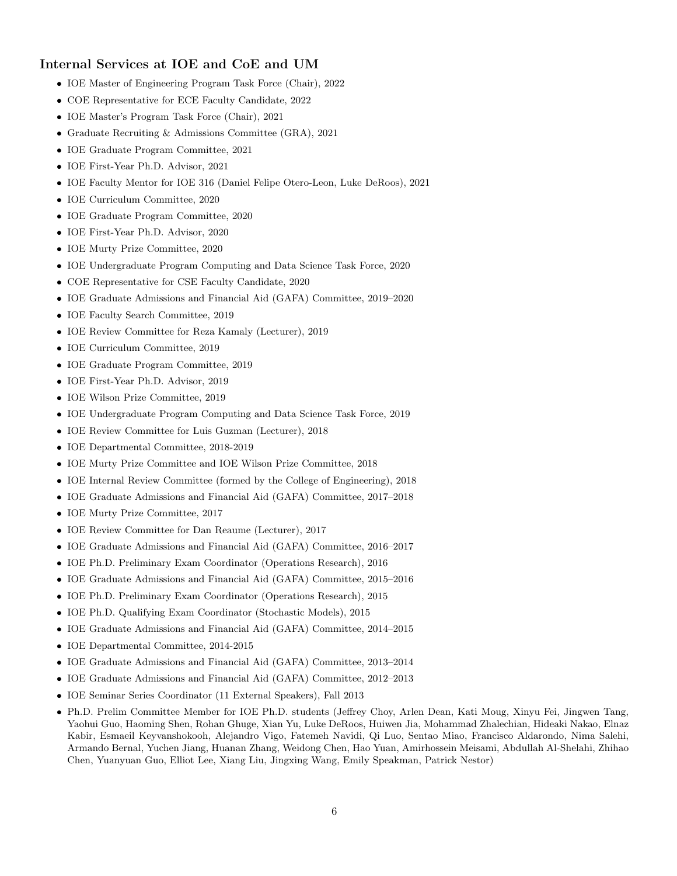#### Internal Services at IOE and CoE and UM

- IOE Master of Engineering Program Task Force (Chair), 2022
- COE Representative for ECE Faculty Candidate, 2022
- IOE Master's Program Task Force (Chair), 2021
- Graduate Recruiting & Admissions Committee (GRA), 2021
- IOE Graduate Program Committee, 2021
- IOE First-Year Ph.D. Advisor, 2021
- IOE Faculty Mentor for IOE 316 (Daniel Felipe Otero-Leon, Luke DeRoos), 2021
- IOE Curriculum Committee, 2020
- IOE Graduate Program Committee, 2020
- IOE First-Year Ph.D. Advisor, 2020
- IOE Murty Prize Committee, 2020
- IOE Undergraduate Program Computing and Data Science Task Force, 2020
- COE Representative for CSE Faculty Candidate, 2020
- IOE Graduate Admissions and Financial Aid (GAFA) Committee, 2019–2020
- IOE Faculty Search Committee, 2019
- IOE Review Committee for Reza Kamaly (Lecturer), 2019
- IOE Curriculum Committee, 2019
- IOE Graduate Program Committee, 2019
- IOE First-Year Ph.D. Advisor, 2019
- IOE Wilson Prize Committee, 2019
- IOE Undergraduate Program Computing and Data Science Task Force, 2019
- IOE Review Committee for Luis Guzman (Lecturer), 2018
- IOE Departmental Committee, 2018-2019
- IOE Murty Prize Committee and IOE Wilson Prize Committee, 2018
- IOE Internal Review Committee (formed by the College of Engineering), 2018
- IOE Graduate Admissions and Financial Aid (GAFA) Committee, 2017–2018
- IOE Murty Prize Committee, 2017
- IOE Review Committee for Dan Reaume (Lecturer), 2017
- IOE Graduate Admissions and Financial Aid (GAFA) Committee, 2016–2017
- IOE Ph.D. Preliminary Exam Coordinator (Operations Research), 2016
- IOE Graduate Admissions and Financial Aid (GAFA) Committee, 2015–2016
- IOE Ph.D. Preliminary Exam Coordinator (Operations Research), 2015
- IOE Ph.D. Qualifying Exam Coordinator (Stochastic Models), 2015
- IOE Graduate Admissions and Financial Aid (GAFA) Committee, 2014–2015
- IOE Departmental Committee, 2014-2015
- IOE Graduate Admissions and Financial Aid (GAFA) Committee, 2013–2014
- IOE Graduate Admissions and Financial Aid (GAFA) Committee, 2012–2013
- IOE Seminar Series Coordinator (11 External Speakers), Fall 2013
- Ph.D. Prelim Committee Member for IOE Ph.D. students (Jeffrey Choy, Arlen Dean, Kati Moug, Xinyu Fei, Jingwen Tang, Yaohui Guo, Haoming Shen, Rohan Ghuge, Xian Yu, Luke DeRoos, Huiwen Jia, Mohammad Zhalechian, Hideaki Nakao, Elnaz Kabir, Esmaeil Keyvanshokooh, Alejandro Vigo, Fatemeh Navidi, Qi Luo, Sentao Miao, Francisco Aldarondo, Nima Salehi, Armando Bernal, Yuchen Jiang, Huanan Zhang, Weidong Chen, Hao Yuan, Amirhossein Meisami, Abdullah Al-Shelahi, Zhihao Chen, Yuanyuan Guo, Elliot Lee, Xiang Liu, Jingxing Wang, Emily Speakman, Patrick Nestor)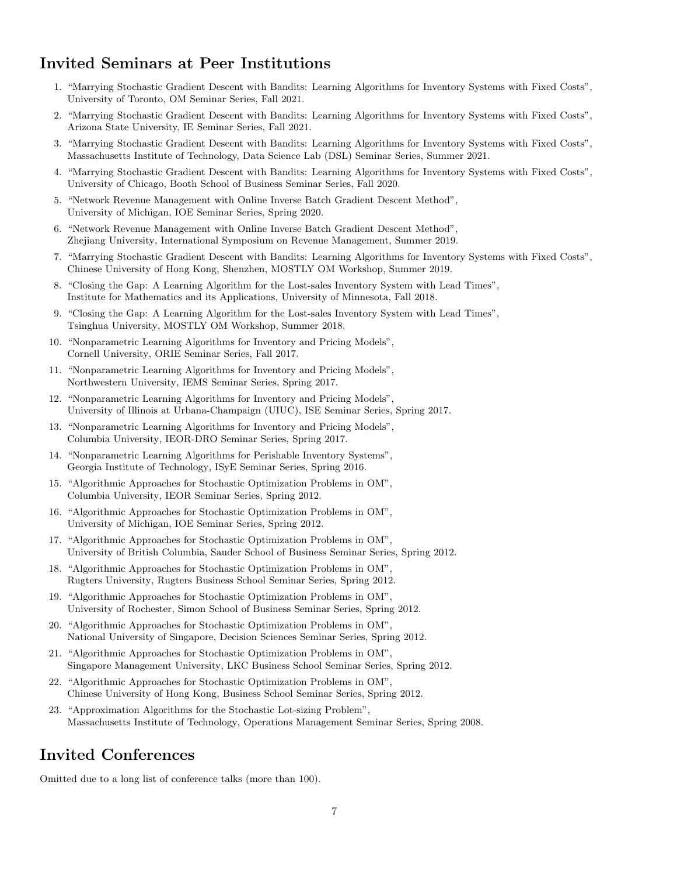## Invited Seminars at Peer Institutions

- 1. "Marrying Stochastic Gradient Descent with Bandits: Learning Algorithms for Inventory Systems with Fixed Costs", University of Toronto, OM Seminar Series, Fall 2021.
- 2. "Marrying Stochastic Gradient Descent with Bandits: Learning Algorithms for Inventory Systems with Fixed Costs", Arizona State University, IE Seminar Series, Fall 2021.
- 3. "Marrying Stochastic Gradient Descent with Bandits: Learning Algorithms for Inventory Systems with Fixed Costs", Massachusetts Institute of Technology, Data Science Lab (DSL) Seminar Series, Summer 2021.
- 4. "Marrying Stochastic Gradient Descent with Bandits: Learning Algorithms for Inventory Systems with Fixed Costs", University of Chicago, Booth School of Business Seminar Series, Fall 2020.
- 5. "Network Revenue Management with Online Inverse Batch Gradient Descent Method", University of Michigan, IOE Seminar Series, Spring 2020.
- 6. "Network Revenue Management with Online Inverse Batch Gradient Descent Method", Zhejiang University, International Symposium on Revenue Management, Summer 2019.
- 7. "Marrying Stochastic Gradient Descent with Bandits: Learning Algorithms for Inventory Systems with Fixed Costs", Chinese University of Hong Kong, Shenzhen, MOSTLY OM Workshop, Summer 2019.
- 8. "Closing the Gap: A Learning Algorithm for the Lost-sales Inventory System with Lead Times", Institute for Mathematics and its Applications, University of Minnesota, Fall 2018.
- 9. "Closing the Gap: A Learning Algorithm for the Lost-sales Inventory System with Lead Times", Tsinghua University, MOSTLY OM Workshop, Summer 2018.
- 10. "Nonparametric Learning Algorithms for Inventory and Pricing Models", Cornell University, ORIE Seminar Series, Fall 2017.
- 11. "Nonparametric Learning Algorithms for Inventory and Pricing Models", Northwestern University, IEMS Seminar Series, Spring 2017.
- 12. "Nonparametric Learning Algorithms for Inventory and Pricing Models", University of Illinois at Urbana-Champaign (UIUC), ISE Seminar Series, Spring 2017.
- 13. "Nonparametric Learning Algorithms for Inventory and Pricing Models", Columbia University, IEOR-DRO Seminar Series, Spring 2017.
- 14. "Nonparametric Learning Algorithms for Perishable Inventory Systems", Georgia Institute of Technology, ISyE Seminar Series, Spring 2016.
- 15. "Algorithmic Approaches for Stochastic Optimization Problems in OM", Columbia University, IEOR Seminar Series, Spring 2012.
- 16. "Algorithmic Approaches for Stochastic Optimization Problems in OM", University of Michigan, IOE Seminar Series, Spring 2012.
- 17. "Algorithmic Approaches for Stochastic Optimization Problems in OM", University of British Columbia, Sauder School of Business Seminar Series, Spring 2012.
- 18. "Algorithmic Approaches for Stochastic Optimization Problems in OM", Rugters University, Rugters Business School Seminar Series, Spring 2012.
- 19. "Algorithmic Approaches for Stochastic Optimization Problems in OM", University of Rochester, Simon School of Business Seminar Series, Spring 2012.
- 20. "Algorithmic Approaches for Stochastic Optimization Problems in OM", National University of Singapore, Decision Sciences Seminar Series, Spring 2012.
- 21. "Algorithmic Approaches for Stochastic Optimization Problems in OM", Singapore Management University, LKC Business School Seminar Series, Spring 2012.
- 22. "Algorithmic Approaches for Stochastic Optimization Problems in OM", Chinese University of Hong Kong, Business School Seminar Series, Spring 2012.
- 23. "Approximation Algorithms for the Stochastic Lot-sizing Problem", Massachusetts Institute of Technology, Operations Management Seminar Series, Spring 2008.

### Invited Conferences

Omitted due to a long list of conference talks (more than 100).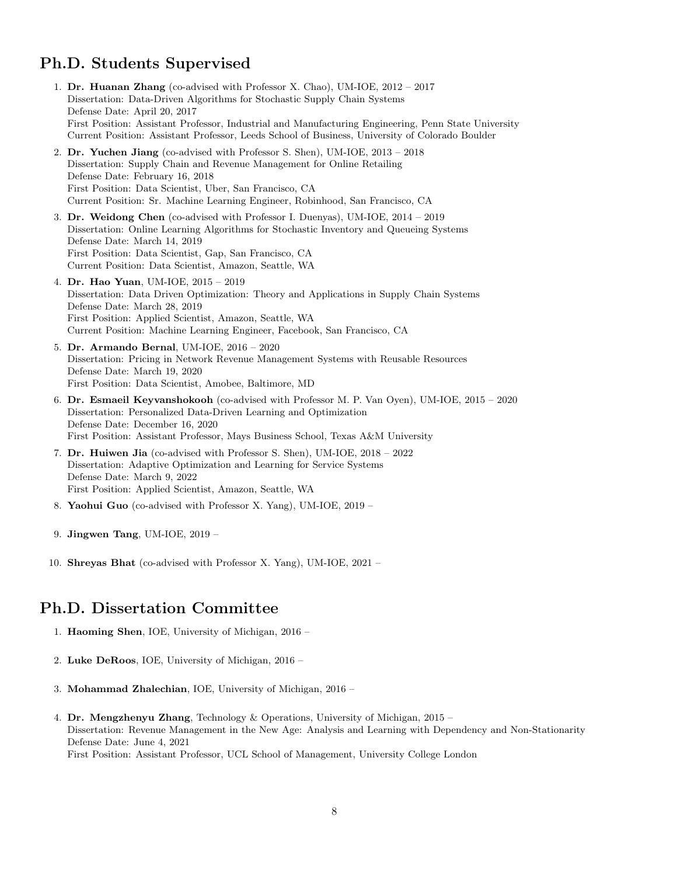## Ph.D. Students Supervised

- 1. Dr. Huanan Zhang (co-advised with Professor X. Chao), UM-IOE, 2012 2017 Dissertation: Data-Driven Algorithms for Stochastic Supply Chain Systems Defense Date: April 20, 2017 First Position: Assistant Professor, Industrial and Manufacturing Engineering, Penn State University Current Position: Assistant Professor, Leeds School of Business, University of Colorado Boulder
- 2. Dr. Yuchen Jiang (co-advised with Professor S. Shen), UM-IOE, 2013 2018 Dissertation: Supply Chain and Revenue Management for Online Retailing Defense Date: February 16, 2018 First Position: Data Scientist, Uber, San Francisco, CA Current Position: Sr. Machine Learning Engineer, Robinhood, San Francisco, CA
- 3. Dr. Weidong Chen (co-advised with Professor I. Duenyas), UM-IOE, 2014 2019 Dissertation: Online Learning Algorithms for Stochastic Inventory and Queueing Systems Defense Date: March 14, 2019 First Position: Data Scientist, Gap, San Francisco, CA Current Position: Data Scientist, Amazon, Seattle, WA
- 4. Dr. Hao Yuan, UM-IOE, 2015 2019 Dissertation: Data Driven Optimization: Theory and Applications in Supply Chain Systems Defense Date: March 28, 2019 First Position: Applied Scientist, Amazon, Seattle, WA Current Position: Machine Learning Engineer, Facebook, San Francisco, CA
- 5. Dr. Armando Bernal, UM-IOE, 2016 2020 Dissertation: Pricing in Network Revenue Management Systems with Reusable Resources Defense Date: March 19, 2020 First Position: Data Scientist, Amobee, Baltimore, MD
- 6. Dr. Esmaeil Keyvanshokooh (co-advised with Professor M. P. Van Oyen), UM-IOE, 2015 2020 Dissertation: Personalized Data-Driven Learning and Optimization Defense Date: December 16, 2020 First Position: Assistant Professor, Mays Business School, Texas A&M University
- 7. Dr. Huiwen Jia (co-advised with Professor S. Shen), UM-IOE, 2018 2022 Dissertation: Adaptive Optimization and Learning for Service Systems Defense Date: March 9, 2022 First Position: Applied Scientist, Amazon, Seattle, WA
- 8. Yaohui Guo (co-advised with Professor X. Yang), UM-IOE, 2019 –
- 9. Jingwen Tang, UM-IOE, 2019 –
- 10. Shreyas Bhat (co-advised with Professor X. Yang), UM-IOE, 2021 –

### Ph.D. Dissertation Committee

- 1. Haoming Shen, IOE, University of Michigan, 2016 –
- 2. Luke DeRoos, IOE, University of Michigan, 2016 –
- 3. Mohammad Zhalechian, IOE, University of Michigan, 2016 –
- 4. Dr. Mengzhenyu Zhang, Technology & Operations, University of Michigan, 2015 Dissertation: Revenue Management in the New Age: Analysis and Learning with Dependency and Non-Stationarity Defense Date: June 4, 2021 First Position: Assistant Professor, UCL School of Management, University College London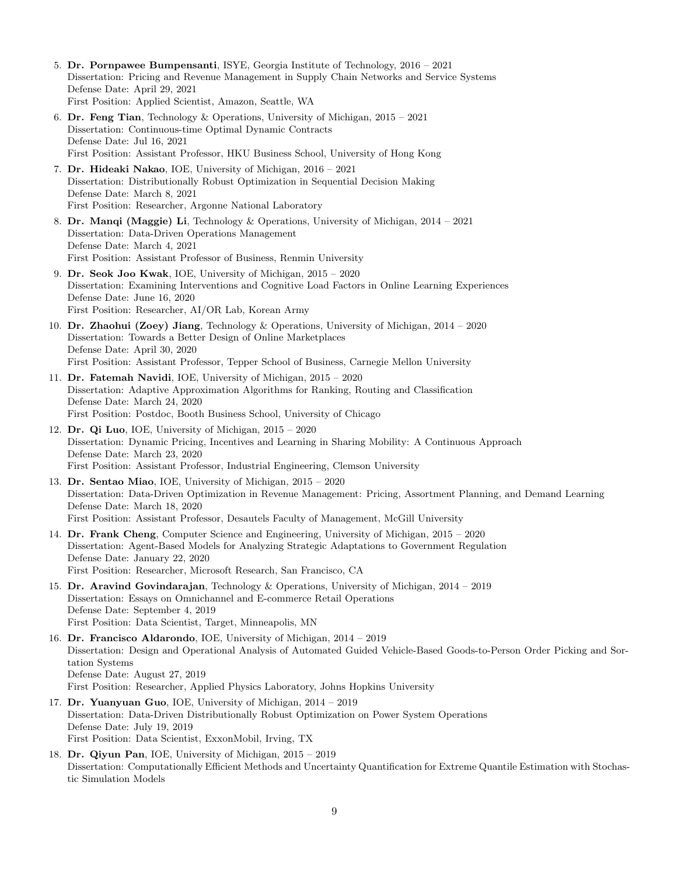- 5. Dr. Pornpawee Bumpensanti, ISYE, Georgia Institute of Technology, 2016 2021 Dissertation: Pricing and Revenue Management in Supply Chain Networks and Service Systems Defense Date: April 29, 2021 First Position: Applied Scientist, Amazon, Seattle, WA
- 6. Dr. Feng Tian, Technology & Operations, University of Michigan,  $2015 2021$ Dissertation: Continuous-time Optimal Dynamic Contracts Defense Date: Jul 16, 2021 First Position: Assistant Professor, HKU Business School, University of Hong Kong
- 7. Dr. Hideaki Nakao, IOE, University of Michigan, 2016 2021 Dissertation: Distributionally Robust Optimization in Sequential Decision Making Defense Date: March 8, 2021 First Position: Researcher, Argonne National Laboratory
- 8. Dr. Manqi (Maggie) Li, Technology & Operations, University of Michigan, 2014 2021 Dissertation: Data-Driven Operations Management Defense Date: March 4, 2021 First Position: Assistant Professor of Business, Renmin University
- 9. Dr. Seok Joo Kwak, IOE, University of Michigan, 2015 2020 Dissertation: Examining Interventions and Cognitive Load Factors in Online Learning Experiences Defense Date: June 16, 2020 First Position: Researcher, AI/OR Lab, Korean Army
- 10. Dr. Zhaohui (Zoey) Jiang, Technology & Operations, University of Michigan, 2014 2020 Dissertation: Towards a Better Design of Online Marketplaces Defense Date: April 30, 2020 First Position: Assistant Professor, Tepper School of Business, Carnegie Mellon University
- 11. Dr. Fatemah Navidi, IOE, University of Michigan, 2015 2020 Dissertation: Adaptive Approximation Algorithms for Ranking, Routing and Classification Defense Date: March 24, 2020 First Position: Postdoc, Booth Business School, University of Chicago
- 12. Dr. Qi Luo, IOE, University of Michigan, 2015 2020 Dissertation: Dynamic Pricing, Incentives and Learning in Sharing Mobility: A Continuous Approach Defense Date: March 23, 2020 First Position: Assistant Professor, Industrial Engineering, Clemson University
- 13. Dr. Sentao Miao, IOE, University of Michigan, 2015 2020 Dissertation: Data-Driven Optimization in Revenue Management: Pricing, Assortment Planning, and Demand Learning Defense Date: March 18, 2020 First Position: Assistant Professor, Desautels Faculty of Management, McGill University
- 14. Dr. Frank Cheng, Computer Science and Engineering, University of Michigan, 2015 2020 Dissertation: Agent-Based Models for Analyzing Strategic Adaptations to Government Regulation Defense Date: January 22, 2020 First Position: Researcher, Microsoft Research, San Francisco, CA
- 15. Dr. Aravind Govindarajan, Technology & Operations, University of Michigan, 2014 2019 Dissertation: Essays on Omnichannel and E-commerce Retail Operations Defense Date: September 4, 2019 First Position: Data Scientist, Target, Minneapolis, MN
- 16. Dr. Francisco Aldarondo, IOE, University of Michigan, 2014 2019 Dissertation: Design and Operational Analysis of Automated Guided Vehicle-Based Goods-to-Person Order Picking and Sortation Systems Defense Date: August 27, 2019 First Position: Researcher, Applied Physics Laboratory, Johns Hopkins University
- 17. Dr. Yuanyuan Guo, IOE, University of Michigan, 2014 2019 Dissertation: Data-Driven Distributionally Robust Optimization on Power System Operations Defense Date: July 19, 2019 First Position: Data Scientist, ExxonMobil, Irving, TX
- 18. Dr. Qiyun Pan, IOE, University of Michigan, 2015 2019 Dissertation: Computationally Efficient Methods and Uncertainty Quantification for Extreme Quantile Estimation with Stochastic Simulation Models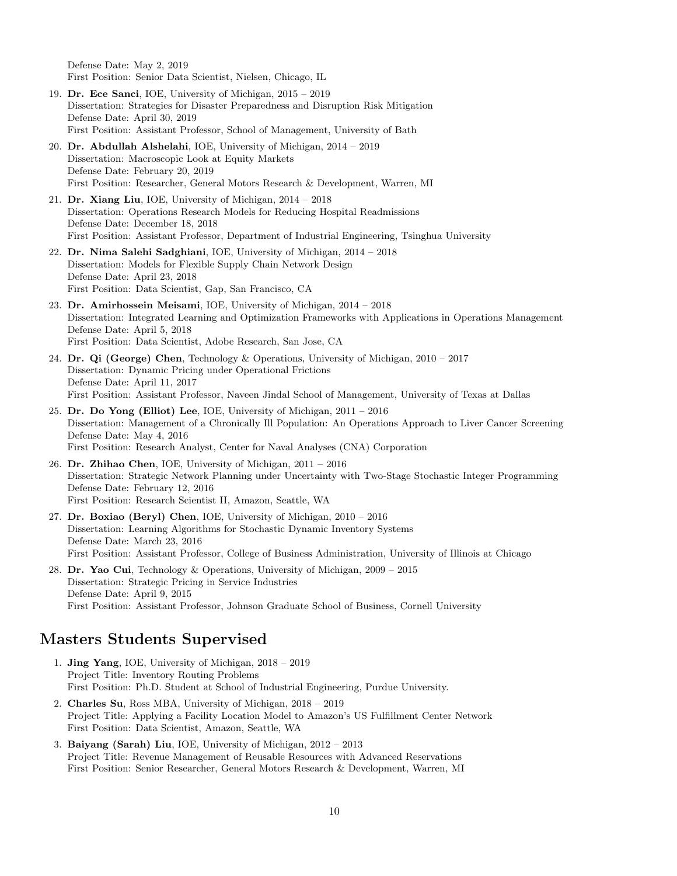Defense Date: May 2, 2019 First Position: Senior Data Scientist, Nielsen, Chicago, IL

- 19. Dr. Ece Sanci, IOE, University of Michigan, 2015 2019 Dissertation: Strategies for Disaster Preparedness and Disruption Risk Mitigation Defense Date: April 30, 2019 First Position: Assistant Professor, School of Management, University of Bath
- 20. Dr. Abdullah Alshelahi, IOE, University of Michigan, 2014 2019 Dissertation: Macroscopic Look at Equity Markets Defense Date: February 20, 2019 First Position: Researcher, General Motors Research & Development, Warren, MI
- 21. Dr. Xiang Liu, IOE, University of Michigan, 2014 2018 Dissertation: Operations Research Models for Reducing Hospital Readmissions Defense Date: December 18, 2018 First Position: Assistant Professor, Department of Industrial Engineering, Tsinghua University
- 22. Dr. Nima Salehi Sadghiani, IOE, University of Michigan, 2014 2018 Dissertation: Models for Flexible Supply Chain Network Design Defense Date: April 23, 2018 First Position: Data Scientist, Gap, San Francisco, CA
- 23. Dr. Amirhossein Meisami, IOE, University of Michigan, 2014 2018 Dissertation: Integrated Learning and Optimization Frameworks with Applications in Operations Management Defense Date: April 5, 2018 First Position: Data Scientist, Adobe Research, San Jose, CA
- 24. Dr. Qi (George) Chen, Technology & Operations, University of Michigan, 2010 2017 Dissertation: Dynamic Pricing under Operational Frictions Defense Date: April 11, 2017 First Position: Assistant Professor, Naveen Jindal School of Management, University of Texas at Dallas
- 25. Dr. Do Yong (Elliot) Lee, IOE, University of Michigan, 2011 2016 Dissertation: Management of a Chronically Ill Population: An Operations Approach to Liver Cancer Screening Defense Date: May 4, 2016 First Position: Research Analyst, Center for Naval Analyses (CNA) Corporation
- 26. Dr. Zhihao Chen, IOE, University of Michigan, 2011 2016 Dissertation: Strategic Network Planning under Uncertainty with Two-Stage Stochastic Integer Programming Defense Date: February 12, 2016 First Position: Research Scientist II, Amazon, Seattle, WA
- 27. Dr. Boxiao (Beryl) Chen, IOE, University of Michigan, 2010 2016 Dissertation: Learning Algorithms for Stochastic Dynamic Inventory Systems Defense Date: March 23, 2016 First Position: Assistant Professor, College of Business Administration, University of Illinois at Chicago
- 28. Dr. Yao Cui, Technology & Operations, University of Michigan,  $2009 2015$ Dissertation: Strategic Pricing in Service Industries Defense Date: April 9, 2015 First Position: Assistant Professor, Johnson Graduate School of Business, Cornell University

### Masters Students Supervised

- 1. Jing Yang, IOE, University of Michigan, 2018 2019 Project Title: Inventory Routing Problems First Position: Ph.D. Student at School of Industrial Engineering, Purdue University.
- 2. Charles Su, Ross MBA, University of Michigan, 2018 2019 Project Title: Applying a Facility Location Model to Amazon's US Fulfillment Center Network First Position: Data Scientist, Amazon, Seattle, WA
- 3. Baiyang (Sarah) Liu, IOE, University of Michigan, 2012 2013 Project Title: Revenue Management of Reusable Resources with Advanced Reservations First Position: Senior Researcher, General Motors Research & Development, Warren, MI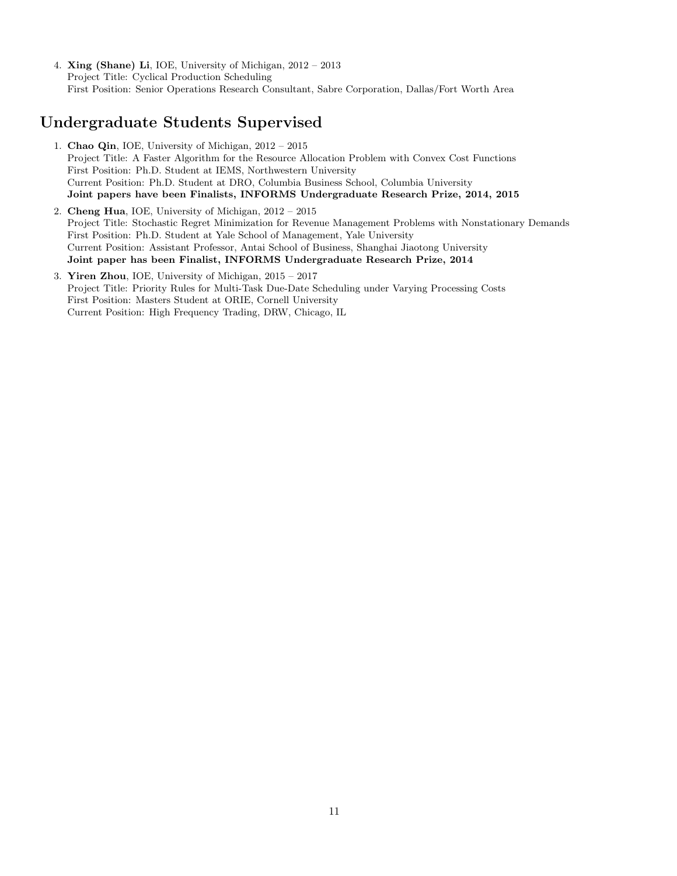4. Xing (Shane) Li, IOE, University of Michigan, 2012 – 2013 Project Title: Cyclical Production Scheduling First Position: Senior Operations Research Consultant, Sabre Corporation, Dallas/Fort Worth Area

## Undergraduate Students Supervised

- 1. Chao Qin, IOE, University of Michigan, 2012 2015 Project Title: A Faster Algorithm for the Resource Allocation Problem with Convex Cost Functions First Position: Ph.D. Student at IEMS, Northwestern University Current Position: Ph.D. Student at DRO, Columbia Business School, Columbia University Joint papers have been Finalists, INFORMS Undergraduate Research Prize, 2014, 2015
- 2. Cheng Hua, IOE, University of Michigan, 2012 2015 Project Title: Stochastic Regret Minimization for Revenue Management Problems with Nonstationary Demands First Position: Ph.D. Student at Yale School of Management, Yale University Current Position: Assistant Professor, Antai School of Business, Shanghai Jiaotong University Joint paper has been Finalist, INFORMS Undergraduate Research Prize, 2014
- 3. Yiren Zhou, IOE, University of Michigan, 2015 2017 Project Title: Priority Rules for Multi-Task Due-Date Scheduling under Varying Processing Costs First Position: Masters Student at ORIE, Cornell University Current Position: High Frequency Trading, DRW, Chicago, IL